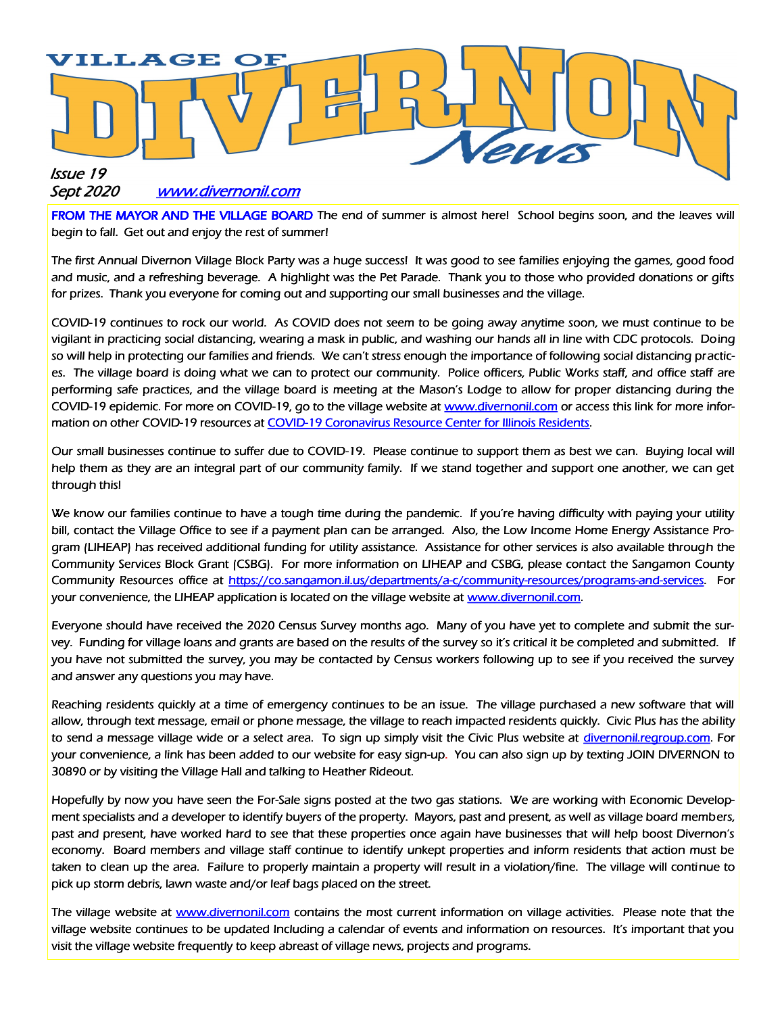

#### Sept 2020 www.divernonil.com

FROM THE MAYOR AND THE VILLAGE BOARD The end of summer is almost here! School begins soon, and the leaves will begin to fall. Get out and enjoy the rest of summer!

The first Annual Divernon Village Block Party was a huge success! It was good to see families enjoying the games, good food and music, and a refreshing beverage. A highlight was the Pet Parade. Thank you to those who provided donations or gifts for prizes. Thank you everyone for coming out and supporting our small businesses and the village.

COVID-19 continues to rock our world. As COVID does not seem to be going away anytime soon, we must continue to be vigilant in practicing social distancing, wearing a mask in public, and washing our hands all in line with CDC protocols. Doing so will help in protecting our families and friends. We can't stress enough the importance of following social distancing practices. The village board is doing what we can to protect our community. Police officers, Public Works staff, and office staff are performing safe practices, and the village board is meeting at the Mason's Lodge to allow for proper distancing during the COVID-19 epidemic. For more on COVID-19, go to the village website at www.divernonil.com or access this link for more information on other COVID-19 resources at COVID-19 Coronavirus Resource Center for Illinois Residents.

Our small businesses continue to suffer due to COVID-19. Please continue to support them as best we can. Buying local will help them as they are an integral part of our community family. If we stand together and support one another, we can get through this!

We know our families continue to have a tough time during the pandemic. If you're having difficulty with paying your utility bill, contact the Village Office to see if a payment plan can be arranged. Also, the Low Income Home Energy Assistance Program (LIHEAP) has received additional funding for utility assistance. Assistance for other services is also available through the Community Services Block Grant (CSBG). For more information on LIHEAP and CSBG, please contact the Sangamon County Community Resources office at https://co.sangamon.il.us/departments/a-c/community-resources/programs-and-services. For your convenience, the LIHEAP application is located on the village website at www.divernonil.com.

Everyone should have received the 2020 Census Survey months ago. Many of you have yet to complete and submit the survey. Funding for village loans and grants are based on the results of the survey so it's critical it be completed and submitted. If you have not submitted the survey, you may be contacted by Census workers following up to see if you received the survey and answer any questions you may have.

Reaching residents quickly at a time of emergency continues to be an issue. The village purchased a new software that will allow, through text message, email or phone message, the village to reach impacted residents quickly. Civic Plus has the ability to send a message village wide or a select area. To sign up simply visit the Civic Plus website at divernonil.regroup.com. For your convenience, a link has been added to our website for easy sign-up. You can also sign up by texting JOIN DIVERNON to 30890 or by visiting the Village Hall and talking to Heather Rideout.

Hopefully by now you have seen the For-Sale signs posted at the two gas stations. We are working with Economic Development specialists and a developer to identify buyers of the property. Mayors, past and present, as well as village board members, past and present, have worked hard to see that these properties once again have businesses that will help boost Divernon's economy. Board members and village staff continue to identify unkept properties and inform residents that action must be taken to clean up the area. Failure to properly maintain a property will result in a violation/fine. The village will continue to pick up storm debris, lawn waste and/or leaf bags placed on the street.

The village website at www.divernonil.com contains the most current information on village activities. Please note that the village website continues to be updated Including a calendar of events and information on resources. It's important that you visit the village website frequently to keep abreast of village news, projects and programs.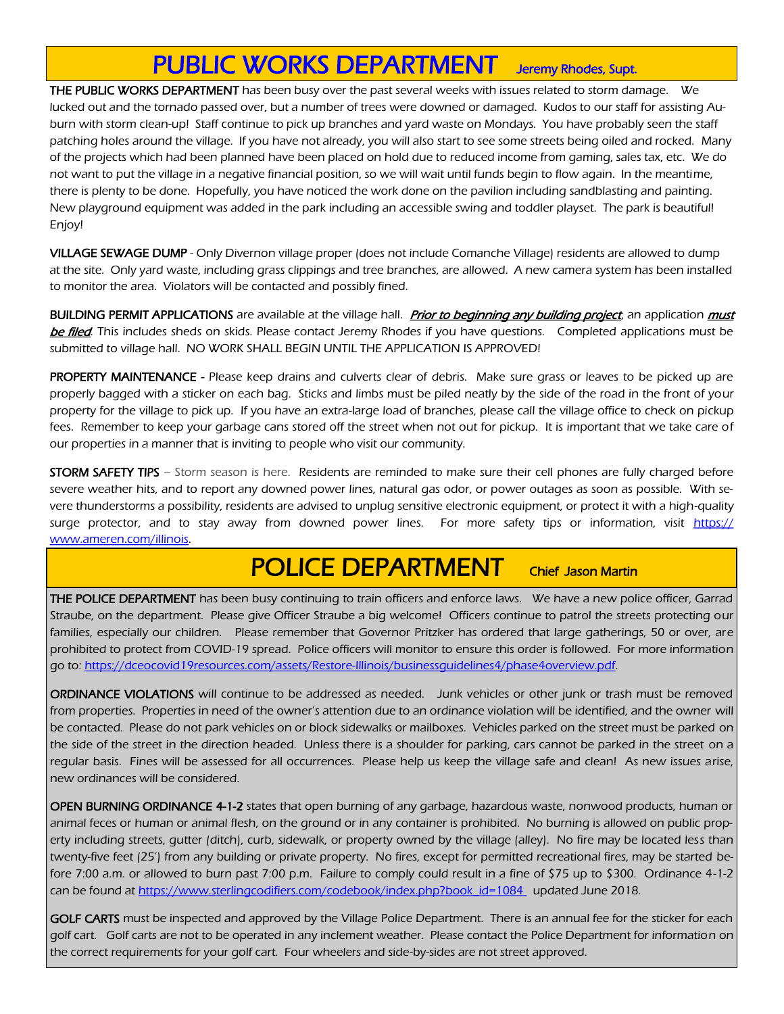## PUBLIC WORKS DEPARTMENT Jeremy Rhodes, Supt.

THE PUBLIC WORKS DEPARTMENT has been busy over the past several weeks with issues related to storm damage. We lucked out and the tornado passed over, but a number of trees were downed or damaged. Kudos to our staff for assisting Auburn with storm clean-up! Staff continue to pick up branches and yard waste on Mondays. You have probably seen the staff patching holes around the village. If you have not already, you will also start to see some streets being oiled and rocked. Many of the projects which had been planned have been placed on hold due to reduced income from gaming, sales tax, etc. We do not want to put the village in a negative financial position, so we will wait until funds begin to flow again. In the meantime, there is plenty to be done. Hopefully, you have noticed the work done on the pavilion including sandblasting and painting. New playground equipment was added in the park including an accessible swing and toddler playset. The park is beautiful! Enjoy!

VILLAGE SEWAGE DUMP - Only Divernon village proper (does not include Comanche Village) residents are allowed to dump at the site. Only yard waste, including grass clippings and tree branches, are allowed. A new camera system has been installed to monitor the area. Violators will be contacted and possibly fined.

BUILDING PERMIT APPLICATIONS are available at the village hall. *Prior to beginning any building project*, an application *must* **be filed**. This includes sheds on skids. Please contact Jeremy Rhodes if you have questions. Completed applications must be submitted to village hall. NO WORK SHALL BEGIN UNTIL THE APPLICATION IS APPROVED!

PROPERTY MAINTENANCE - Please keep drains and culverts clear of debris. Make sure grass or leaves to be picked up are properly bagged with a sticker on each bag. Sticks and limbs must be piled neatly by the side of the road in the front of your property for the village to pick up. If you have an extra-large load of branches, please call the village office to check on pickup fees. Remember to keep your garbage cans stored off the street when not out for pickup. It is important that we take care of our properties in a manner that is inviting to people who visit our community.

STORM SAFETY TIPS - Storm season is here. Residents are reminded to make sure their cell phones are fully charged before severe weather hits, and to report any downed power lines, natural gas odor, or power outages as soon as possible. With severe thunderstorms a possibility, residents are advised to unplug sensitive electronic equipment, or protect it with a high-quality surge protector, and to stay away from downed power lines. For more safety tips or information, visit https:// www.ameren.com/illinois.

### POLICE DEPARTMENT Chief Jason Martin

THE POLICE DEPARTMENT has been busy continuing to train officers and enforce laws. We have a new police officer, Garrad Straube, on the department. Please give Officer Straube a big welcome! Officers continue to patrol the streets protecting our families, especially our children. Please remember that Governor Pritzker has ordered that large gatherings, 50 or over, are prohibited to protect from COVID-19 spread. Police officers will monitor to ensure this order is followed. For more information go to: https://dceocovid19resources.com/assets/Restore-Illinois/businessguidelines4/phase4overview.pdf.

ORDINANCE VIOLATIONS will continue to be addressed as needed. Junk vehicles or other junk or trash must be removed from properties. Properties in need of the owner's attention due to an ordinance violation will be identified, and the owner will be contacted. Please do not park vehicles on or block sidewalks or mailboxes. Vehicles parked on the street must be parked on the side of the street in the direction headed. Unless there is a shoulder for parking, cars cannot be parked in the street on a regular basis. Fines will be assessed for all occurrences. Please help us keep the village safe and clean! As new issues arise, new ordinances will be considered.

OPEN BURNING ORDINANCE 4-1-2 states that open burning of any garbage, hazardous waste, nonwood products, human or animal feces or human or animal flesh, on the ground or in any container is prohibited. No burning is allowed on public property including streets, gutter (ditch), curb, sidewalk, or property owned by the village (alley). No fire may be located less than twenty-five feet (25') from any building or private property. No fires, except for permitted recreational fires, may be started before 7:00 a.m. or allowed to burn past 7:00 p.m. Failure to comply could result in a fine of \$75 up to \$300. Ordinance 4-1-2 can be found at https://www.sterlingcodifiers.com/codebook/index.php?book\_id=1084 updated June 2018.

GOLF CARTS must be inspected and approved by the Village Police Department. There is an annual fee for the sticker for each golf cart. Golf carts are not to be operated in any inclement weather. Please contact the Police Department for information on the correct requirements for your golf cart. Four wheelers and side-by-sides are not street approved.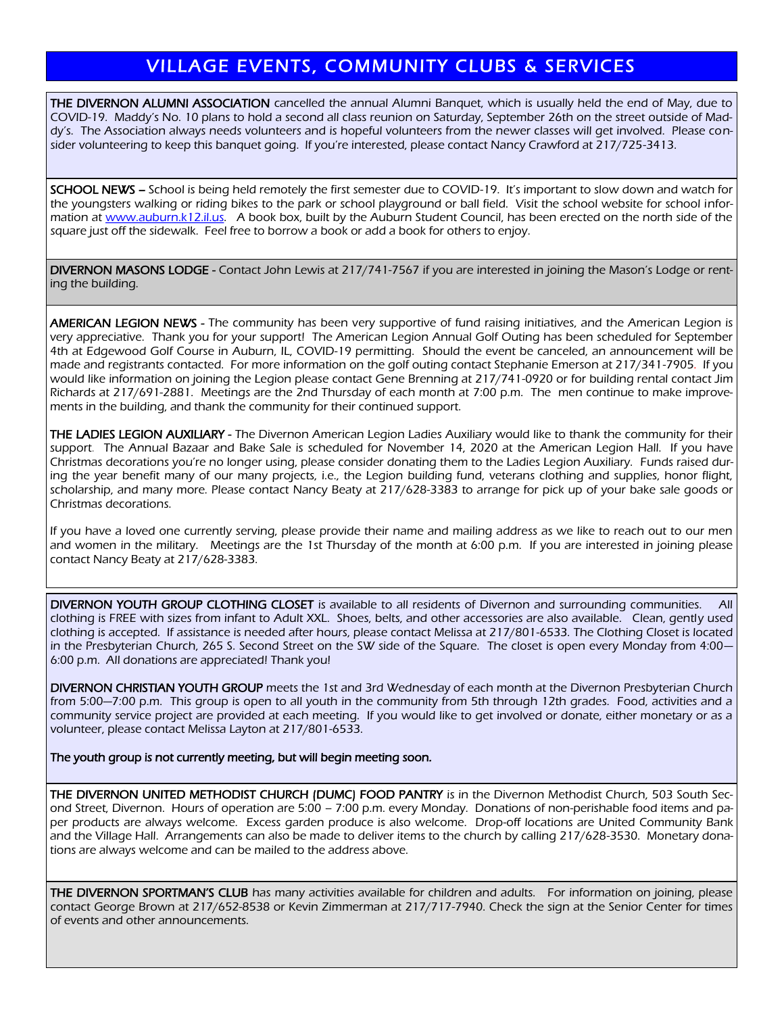#### VILLAGE EVENTS, COMMUNITY CLUBS & SERVICES

THE DIVERNON ALUMNI ASSOCIATION cancelled the annual Alumni Banquet, which is usually held the end of May, due to COVID-19. Maddy's No. 10 plans to hold a second all class reunion on Saturday, September 26th on the street outside of Maddy's. The Association always needs volunteers and is hopeful volunteers from the newer classes will get involved. Please consider volunteering to keep this banquet going. If you're interested, please contact Nancy Crawford at 217/725-3413.

SCHOOL NEWS – School is being held remotely the first semester due to COVID-19. It's important to slow down and watch for the youngsters walking or riding bikes to the park or school playground or ball field. Visit the school website for school information at [www.auburn.k12.il.us.](http://www.auburn.k12.il.us) A book box, built by the Auburn Student Council, has been erected on the north side of the square just off the sidewalk. Feel free to borrow a book or add a book for others to enjoy.

DIVERNON MASONS LODGE - Contact John Lewis at 217/741-7567 if you are interested in joining the Mason's Lodge or renting the building.

AMERICAN LEGION NEWS - The community has been very supportive of fund raising initiatives, and the American Legion is very appreciative. Thank you for your support! The American Legion Annual Golf Outing has been scheduled for September 4th at Edgewood Golf Course in Auburn, IL, COVID-19 permitting. Should the event be canceled, an announcement will be made and registrants contacted. For more information on the golf outing contact Stephanie Emerson at 217/341-7905. If you would like information on joining the Legion please contact Gene Brenning at 217/741-0920 or for building rental contact Jim Richards at 217/691-2881. Meetings are the 2nd Thursday of each month at 7:00 p.m. The men continue to make improvements in the building, and thank the community for their continued support.

THE LADIES LEGION AUXILIARY - The Divernon American Legion Ladies Auxiliary would like to thank the community for their support. The Annual Bazaar and Bake Sale is scheduled for November 14, 2020 at the American Legion Hall. If you have Christmas decorations you're no longer using, please consider donating them to the Ladies Legion Auxiliary. Funds raised during the year benefit many of our many projects, i.e., the Legion building fund, veterans clothing and supplies, honor flight, scholarship, and many more. Please contact Nancy Beaty at 217/628-3383 to arrange for pick up of your bake sale goods or Christmas decorations.

If you have a loved one currently serving, please provide their name and mailing address as we like to reach out to our men and women in the military. Meetings are the 1st Thursday of the month at 6:00 p.m. If you are interested in joining please contact Nancy Beaty at 217/628-3383.

DIVERNON YOUTH GROUP CLOTHING CLOSET is available to all residents of Divernon and surrounding communities. All clothing is FREE with sizes from infant to Adult XXL. Shoes, belts, and other accessories are also available. Clean, gently used clothing is accepted. If assistance is needed after hours, please contact Melissa at 217/801-6533. The Clothing Closet is located in the Presbyterian Church, 265 S. Second Street on the SW side of the Square. The closet is open every Monday from 4:00— 6:00 p.m. All donations are appreciated! Thank you!

DIVERNON CHRISTIAN YOUTH GROUP meets the 1st and 3rd Wednesday of each month at the Divernon Presbyterian Church from 5:00—7:00 p.m. This group is open to all youth in the community from 5th through 12th grades. Food, activities and a community service project are provided at each meeting. If you would like to get involved or donate, either monetary or as a volunteer, please contact Melissa Layton at 217/801-6533.

The youth group is not currently meeting, but will begin meeting soon.

THE DIVERNON UNITED METHODIST CHURCH (DUMC) FOOD PANTRY is in the Divernon Methodist Church, 503 South Second Street, Divernon. Hours of operation are 5:00 – 7:00 p.m. every Monday. Donations of non-perishable food items and paper products are always welcome. Excess garden produce is also welcome. Drop-off locations are United Community Bank and the Village Hall. Arrangements can also be made to deliver items to the church by calling 217/628-3530. Monetary donations are always welcome and can be mailed to the address above.

THE DIVERNON SPORTMAN'S CLUB has many activities available for children and adults. For information on joining, please contact George Brown at 217/652-8538 or Kevin Zimmerman at 217/717-7940. Check the sign at the Senior Center for times of events and other announcements.